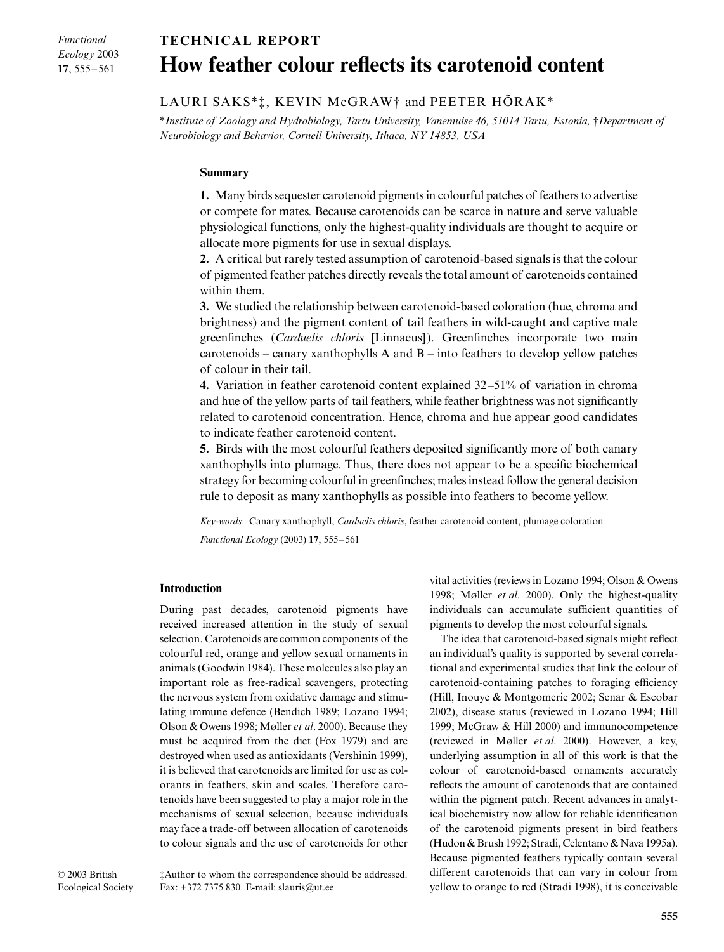# *Functional Ecology* 2003 **17**, 555–561

# Blackwell Publishing Ltd. Oxford, UK FECunctional Ecology 0269-8463 British Ecological Society, 2003 9 2003 175TFe L. Saks, K. McGraw and P. Hõrak echnical Note ather colour and carotenoid content **TECHNICAL REPORT How feather colour reflects its carotenoid content**

# LAURI SAKS\*‡, KEVIN McGRAW† and PEETER HÕRAK\*

\**Institute of Zoology and Hydrobiology, Tartu University, Vanemuise 46, 51014 Tartu, Estonia,* †*Department of Neurobiology and Behavior, Cornell University, Ithaca, NY 14853, USA* 

## **Summary**

**1.** Many birds sequester carotenoid pigments in colourful patches of feathers to advertise or compete for mates. Because carotenoids can be scarce in nature and serve valuable physiological functions, only the highest-quality individuals are thought to acquire or allocate more pigments for use in sexual displays.

**2.** A critical but rarely tested assumption of carotenoid-based signals is that the colour of pigmented feather patches directly reveals the total amount of carotenoids contained within them.

**3.** We studied the relationship between carotenoid-based coloration (hue, chroma and brightness) and the pigment content of tail feathers in wild-caught and captive male greenfinches (*Carduelis chloris* [Linnaeus]). Greenfinches incorporate two main carotenoids − canary xanthophylls A and B − into feathers to develop yellow patches of colour in their tail.

**4.** Variation in feather carotenoid content explained 32–51% of variation in chroma and hue of the yellow parts of tail feathers, while feather brightness was not significantly related to carotenoid concentration. Hence, chroma and hue appear good candidates to indicate feather carotenoid content.

**5.** Birds with the most colourful feathers deposited significantly more of both canary xanthophylls into plumage. Thus, there does not appear to be a specific biochemical strategy for becoming colourful in greenfinches; males instead follow the general decision rule to deposit as many xanthophylls as possible into feathers to become yellow.

*Key-words*: Canary xanthophyll, *Carduelis chloris*, feather carotenoid content, plumage coloration *Functional Ecology* (2003) **17**, 555–561

## **Introduction**

During past decades, carotenoid pigments have received increased attention in the study of sexual selection. Carotenoids are common components of the colourful red, orange and yellow sexual ornaments in animals (Goodwin 1984). These molecules also play an important role as free-radical scavengers, protecting the nervous system from oxidative damage and stimulating immune defence (Bendich 1989; Lozano 1994; Olson & Owens 1998; Møller *et al*. 2000). Because they must be acquired from the diet (Fox 1979) and are destroyed when used as antioxidants (Vershinin 1999), it is believed that carotenoids are limited for use as colorants in feathers, skin and scales. Therefore carotenoids have been suggested to play a major role in the mechanisms of sexual selection, because individuals may face a trade-off between allocation of carotenoids to colour signals and the use of carotenoids for other vital activities (reviews in Lozano 1994; Olson & Owens 1998; Møller *et al*. 2000). Only the highest-quality individuals can accumulate sufficient quantities of pigments to develop the most colourful signals.

The idea that carotenoid-based signals might reflect an individual's quality is supported by several correlational and experimental studies that link the colour of carotenoid-containing patches to foraging efficiency (Hill, Inouye & Montgomerie 2002; Senar & Escobar 2002), disease status (reviewed in Lozano 1994; Hill 1999; McGraw & Hill 2000) and immunocompetence (reviewed in Møller *et al*. 2000). However, a key, underlying assumption in all of this work is that the colour of carotenoid-based ornaments accurately reflects the amount of carotenoids that are contained within the pigment patch. Recent advances in analytical biochemistry now allow for reliable identification of the carotenoid pigments present in bird feathers (Hudon & Brush 1992; Stradi, Celentano & Nava 1995a). Because pigmented feathers typically contain several different carotenoids that can vary in colour from yellow to orange to red (Stradi 1998), it is conceivable

‡Author to whom the correspondence should be addressed. Fax: +372 7375 830. E-mail: slauris@ut.ee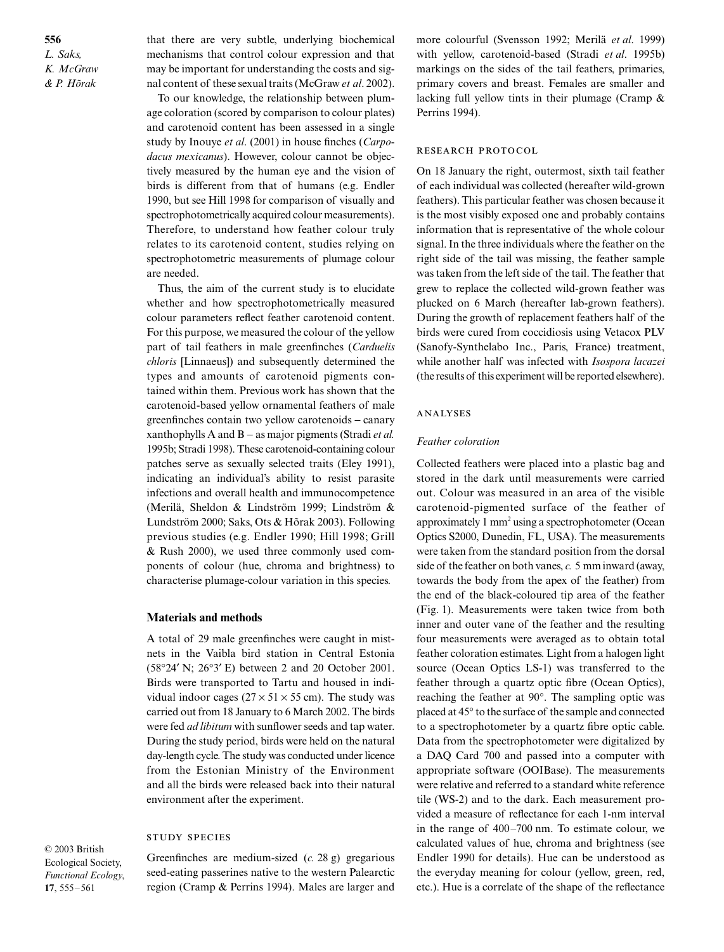**556** *L. Saks, K. McGraw & P. Hõrak*

that there are very subtle, underlying biochemical mechanisms that control colour expression and that may be important for understanding the costs and signal content of these sexual traits (McGraw *et al*. 2002).

To our knowledge, the relationship between plumage coloration (scored by comparison to colour plates) and carotenoid content has been assessed in a single study by Inouye *et al*. (2001) in house finches (*Carpodacus mexicanus*). However, colour cannot be objectively measured by the human eye and the vision of birds is different from that of humans (e.g. Endler 1990, but see Hill 1998 for comparison of visually and spectrophotometrically acquired colour measurements). Therefore, to understand how feather colour truly relates to its carotenoid content, studies relying on spectrophotometric measurements of plumage colour are needed.

Thus, the aim of the current study is to elucidate whether and how spectrophotometrically measured colour parameters reflect feather carotenoid content. For this purpose, we measured the colour of the yellow part of tail feathers in male greenfinches (*Carduelis chloris* [Linnaeus]) and subsequently determined the types and amounts of carotenoid pigments contained within them. Previous work has shown that the carotenoid-based yellow ornamental feathers of male greenfinches contain two yellow carotenoids − canary xanthophylls A and B − as major pigments (Stradi *et al.* 1995b; Stradi 1998). These carotenoid-containing colour patches serve as sexually selected traits (Eley 1991), indicating an individual's ability to resist parasite infections and overall health and immunocompetence (Merilä, Sheldon & Lindström 1999; Lindström & Lundström 2000; Saks, Ots & Hõrak 2003). Following previous studies (e.g. Endler 1990; Hill 1998; Grill & Rush 2000), we used three commonly used components of colour (hue, chroma and brightness) to characterise plumage-colour variation in this species.

#### **Materials and methods**

A total of 29 male greenfinches were caught in mistnets in the Vaibla bird station in Central Estonia (58°24′ N; 26°3′ E) between 2 and 20 October 2001. Birds were transported to Tartu and housed in individual indoor cages  $(27 \times 51 \times 55$  cm). The study was carried out from 18 January to 6 March 2002. The birds were fed *ad libitum* with sunflower seeds and tap water. During the study period, birds were held on the natural day-length cycle. The study was conducted under licence from the Estonian Ministry of the Environment and all the birds were released back into their natural environment after the experiment.

#### **STUDY SPECIES**

© 2003 British Ecological Society, *Functional Ecology*, **17**, 555–561

Greenfinches are medium-sized (*c.* 28 g) gregarious seed-eating passerines native to the western Palearctic region (Cramp & Perrins 1994). Males are larger and more colourful (Svensson 1992; Merilä *et al*. 1999) with yellow, carotenoid-based (Stradi *et al*. 1995b) markings on the sides of the tail feathers, primaries, primary covers and breast. Females are smaller and lacking full yellow tints in their plumage (Cramp & Perrins 1994).

#### RESEARCH PROTOCOL

On 18 January the right, outermost, sixth tail feather of each individual was collected (hereafter wild-grown feathers). This particular feather was chosen because it is the most visibly exposed one and probably contains information that is representative of the whole colour signal. In the three individuals where the feather on the right side of the tail was missing, the feather sample was taken from the left side of the tail. The feather that grew to replace the collected wild-grown feather was plucked on 6 March (hereafter lab-grown feathers). During the growth of replacement feathers half of the birds were cured from coccidiosis using Vetacox PLV (Sanofy-Synthelabo Inc., Paris, France) treatment, while another half was infected with *Isospora lacazei* (the results of this experiment will be reported elsewhere).

#### **ANALYSES**

#### *Feather coloration*

Collected feathers were placed into a plastic bag and stored in the dark until measurements were carried out. Colour was measured in an area of the visible carotenoid-pigmented surface of the feather of approximately 1 mm2 using a spectrophotometer (Ocean Optics S2000, Dunedin, FL, USA). The measurements were taken from the standard position from the dorsal side of the feather on both vanes, *c.* 5 mm inward (away, towards the body from the apex of the feather) from the end of the black-coloured tip area of the feather (Fig. 1). Measurements were taken twice from both inner and outer vane of the feather and the resulting four measurements were averaged as to obtain total feather coloration estimates. Light from a halogen light source (Ocean Optics LS-1) was transferred to the feather through a quartz optic fibre (Ocean Optics), reaching the feather at 90°. The sampling optic was placed at 45° to the surface of the sample and connected to a spectrophotometer by a quartz fibre optic cable. Data from the spectrophotometer were digitalized by a DAQ Card 700 and passed into a computer with appropriate software (OOIBase). The measurements were relative and referred to a standard white reference tile (WS-2) and to the dark. Each measurement provided a measure of reflectance for each 1-nm interval in the range of 400–700 nm. To estimate colour, we calculated values of hue, chroma and brightness (see Endler 1990 for details). Hue can be understood as the everyday meaning for colour (yellow, green, red, etc.). Hue is a correlate of the shape of the reflectance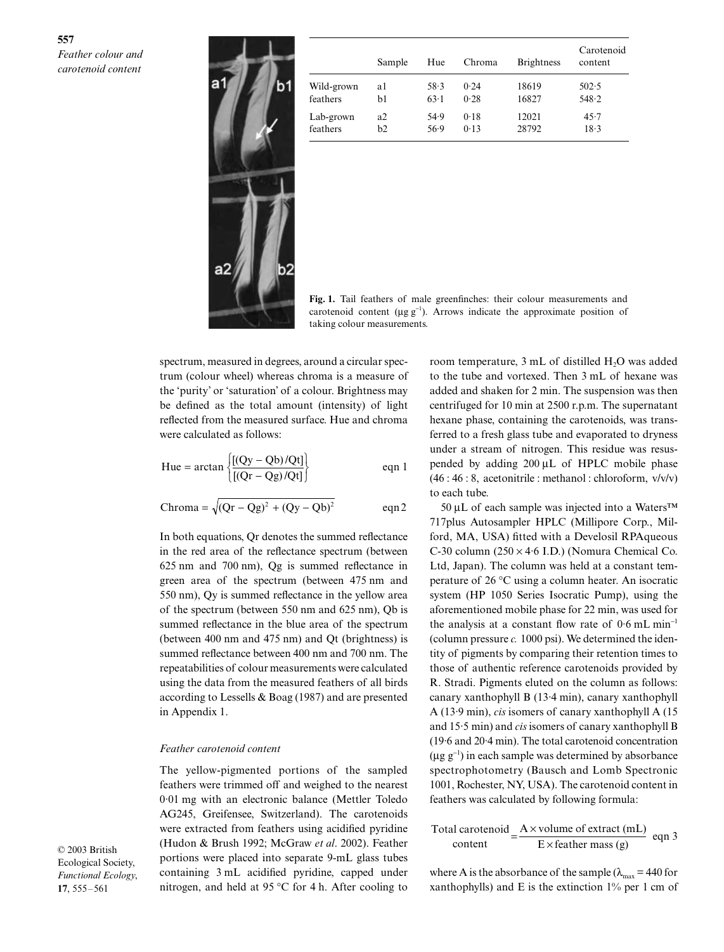

|            | Sample | Hue  | Chroma | <b>Brightness</b> | Carotenoid<br>content |
|------------|--------|------|--------|-------------------|-----------------------|
| Wild-grown | al     | 58.3 | 0.24   | 18619             | 502.5                 |
| feathers   | b1     | 63.1 | 0.28   | 16827             | 548.2                 |
| Lab-grown  | a2     | 54.9 | 0.18   | 12021             | 45.7                  |
| feathers   | b2     | 56.9 | 0.13   | 28792             | 18.3                  |

**Fig. 1.** Tail feathers of male greenfinches: their colour measurements and carotenoid content ( $\mu$ g g<sup>-1</sup>). Arrows indicate the approximate position of taking colour measurements.

spectrum, measured in degrees, around a circular spectrum (colour wheel) whereas chroma is a measure of the 'purity' or 'saturation' of a colour. Brightness may be defined as the total amount (intensity) of light reflected from the measured surface. Hue and chroma were calculated as follows:

$$
\text{Hue} = \arctan\left\{\frac{[(\text{Qy} - \text{Qb})/\text{Qt}]}{[(\text{Qr} - \text{Qg})/\text{Qt}]} \right\} \qquad \text{eqn 1}
$$

$$
Chroma = \sqrt{(Qr - Qg)^2 + (Qy - Qb)^2}
$$
 eqn 2

In both equations, Qr denotes the summed reflectance in the red area of the reflectance spectrum (between 625 nm and 700 nm), Qg is summed reflectance in green area of the spectrum (between 475 nm and 550 nm), Qy is summed reflectance in the yellow area of the spectrum (between 550 nm and 625 nm), Qb is summed reflectance in the blue area of the spectrum (between 400 nm and 475 nm) and Qt (brightness) is summed reflectance between 400 nm and 700 nm. The repeatabilities of colour measurements were calculated using the data from the measured feathers of all birds according to Lessells & Boag (1987) and are presented in Appendix 1.

#### *Feather carotenoid content*

The yellow-pigmented portions of the sampled feathers were trimmed off and weighed to the nearest 0·01 mg with an electronic balance (Mettler Toledo AG245, Greifensee, Switzerland). The carotenoids were extracted from feathers using acidified pyridine (Hudon & Brush 1992; McGraw *et al*. 2002). Feather portions were placed into separate 9-mL glass tubes containing 3 mL acidified pyridine, capped under nitrogen, and held at 95 °C for 4 h. After cooling to

© 2003 British Ecological Society, *Functional Ecology*, **17**, 555–561

room temperature, 3 mL of distilled H<sub>2</sub>O was added to the tube and vortexed. Then 3 mL of hexane was added and shaken for 2 min. The suspension was then centrifuged for 10 min at 2500 r.p.m. The supernatant hexane phase, containing the carotenoids, was transferred to a fresh glass tube and evaporated to dryness under a stream of nitrogen. This residue was resuspended by adding 200 µL of HPLC mobile phase (46 : 46 : 8, acetonitrile : methanol : chloroform, v/v/v) to each tube.

50 µL of each sample was injected into a Waters™ 717plus Autosampler HPLC (Millipore Corp., Milford, MA, USA) fitted with a Develosil RPAqueous C-30 column  $(250 \times 4.6 \text{ I.D.})$  (Nomura Chemical Co. Ltd, Japan). The column was held at a constant temperature of 26 °C using a column heater. An isocratic system (HP 1050 Series Isocratic Pump), using the aforementioned mobile phase for 22 min, was used for the analysis at a constant flow rate of 0·6 mL min<sup>−</sup><sup>1</sup> (column pressure *c.* 1000 psi). We determined the identity of pigments by comparing their retention times to those of authentic reference carotenoids provided by R. Stradi. Pigments eluted on the column as follows: canary xanthophyll B (13·4 min), canary xanthophyll A (13·9 min), *cis* isomers of canary xanthophyll A (15 and 15·5 min) and *cis*isomers of canary xanthophyll B (19·6 and 20·4 min). The total carotenoid concentration  $(\mu g g^{-1})$  in each sample was determined by absorbance spectrophotometry (Bausch and Lomb Spectronic 1001, Rochester, NY, USA). The carotenoid content in feathers was calculated by following formula:

Total carotenoid = 
$$
\frac{A \times \text{volume of extract (mL)}}{E \times \text{feather mass (g)}} \text{ eqn 3}
$$

where A is the absorbance of the sample ( $\lambda_{\text{max}} = 440$  for xanthophylls) and E is the extinction  $1\%$  per 1 cm of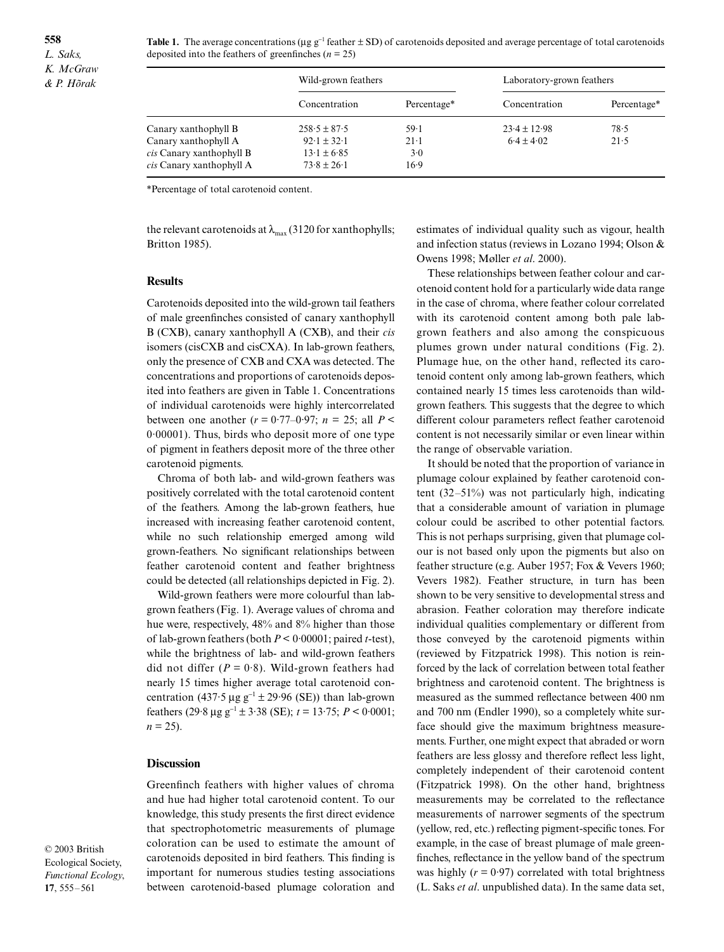**558** *L. Saks, K. McGraw & P. Hõrak*

Table 1. The average concentrations (µg g<sup>-1</sup> feather ± SD) of carotenoids deposited and average percentage of total carotenoids deposited into the feathers of greenfinches ( $n = 25$ )

|                          | Wild-grown feathers |             | Laboratory-grown feathers |             |  |
|--------------------------|---------------------|-------------|---------------------------|-------------|--|
|                          | Concentration       | Percentage* | Concentration             | Percentage* |  |
| Canary xanthophyll B     | $258.5 \pm 87.5$    | $59-1$      | $23.4 \pm 12.98$          | 78.5        |  |
| Canary xanthophyll A     | $92.1 \pm 32.1$     | $21-1$      | $6.4 \pm 4.02$            | 21.5        |  |
| cis Canary xanthophyll B | $13.1 \pm 6.85$     | 3.0         |                           |             |  |
| cis Canary xanthophyll A | $73.8 \pm 26.1$     | $16-9$      |                           |             |  |

\*Percentage of total carotenoid content.

the relevant carotenoids at  $\lambda_{\text{max}}$  (3120 for xanthophylls; Britton 1985).

#### **Results**

Carotenoids deposited into the wild-grown tail feathers of male greenfinches consisted of canary xanthophyll B (CXB), canary xanthophyll A (CXB), and their *cis* isomers (cisCXB and cisCXA). In lab-grown feathers, only the presence of CXB and CXA was detected. The concentrations and proportions of carotenoids deposited into feathers are given in Table 1. Concentrations of individual carotenoids were highly intercorrelated between one another  $(r = 0.77{\text{-}}0.97; n = 25;$  all  $P <$ 0·00001). Thus, birds who deposit more of one type of pigment in feathers deposit more of the three other carotenoid pigments.

Chroma of both lab- and wild-grown feathers was positively correlated with the total carotenoid content of the feathers. Among the lab-grown feathers, hue increased with increasing feather carotenoid content, while no such relationship emerged among wild grown-feathers. No significant relationships between feather carotenoid content and feather brightness could be detected (all relationships depicted in Fig. 2).

Wild-grown feathers were more colourful than labgrown feathers (Fig. 1). Average values of chroma and hue were, respectively, 48% and 8% higher than those of lab-grown feathers (both *P* < 0·00001; paired *t*-test), while the brightness of lab- and wild-grown feathers did not differ  $(P = 0.8)$ . Wild-grown feathers had nearly 15 times higher average total carotenoid concentration (437·5 µg  $g^{-1}$  ± 29·96 (SE)) than lab-grown feathers (29·8  $\mu$ g g<sup>-1</sup> ± 3·38 (SE);  $t = 13.75$ ;  $P < 0.0001$ ;  $n = 25$ ).

## **Discussion**

Greenfinch feathers with higher values of chroma and hue had higher total carotenoid content. To our knowledge, this study presents the first direct evidence that spectrophotometric measurements of plumage coloration can be used to estimate the amount of carotenoids deposited in bird feathers. This finding is important for numerous studies testing associations between carotenoid-based plumage coloration and estimates of individual quality such as vigour, health and infection status (reviews in Lozano 1994; Olson & Owens 1998; Møller *et al*. 2000).

These relationships between feather colour and carotenoid content hold for a particularly wide data range in the case of chroma, where feather colour correlated with its carotenoid content among both pale labgrown feathers and also among the conspicuous plumes grown under natural conditions (Fig. 2). Plumage hue, on the other hand, reflected its carotenoid content only among lab-grown feathers, which contained nearly 15 times less carotenoids than wildgrown feathers. This suggests that the degree to which different colour parameters reflect feather carotenoid content is not necessarily similar or even linear within the range of observable variation.

It should be noted that the proportion of variance in plumage colour explained by feather carotenoid content (32–51%) was not particularly high, indicating that a considerable amount of variation in plumage colour could be ascribed to other potential factors. This is not perhaps surprising, given that plumage colour is not based only upon the pigments but also on feather structure (e.g. Auber 1957; Fox & Vevers 1960; Vevers 1982). Feather structure, in turn has been shown to be very sensitive to developmental stress and abrasion. Feather coloration may therefore indicate individual qualities complementary or different from those conveyed by the carotenoid pigments within (reviewed by Fitzpatrick 1998). This notion is reinforced by the lack of correlation between total feather brightness and carotenoid content. The brightness is measured as the summed reflectance between 400 nm and 700 nm (Endler 1990), so a completely white surface should give the maximum brightness measurements. Further, one might expect that abraded or worn feathers are less glossy and therefore reflect less light, completely independent of their carotenoid content (Fitzpatrick 1998). On the other hand, brightness measurements may be correlated to the reflectance measurements of narrower segments of the spectrum (yellow, red, etc.) reflecting pigment-specific tones. For example, in the case of breast plumage of male greenfinches, reflectance in the yellow band of the spectrum was highly  $(r = 0.97)$  correlated with total brightness (L. Saks *et al*. unpublished data). In the same data set,

© 2003 British Ecological Society, *Functional Ecology*, **17**, 555–561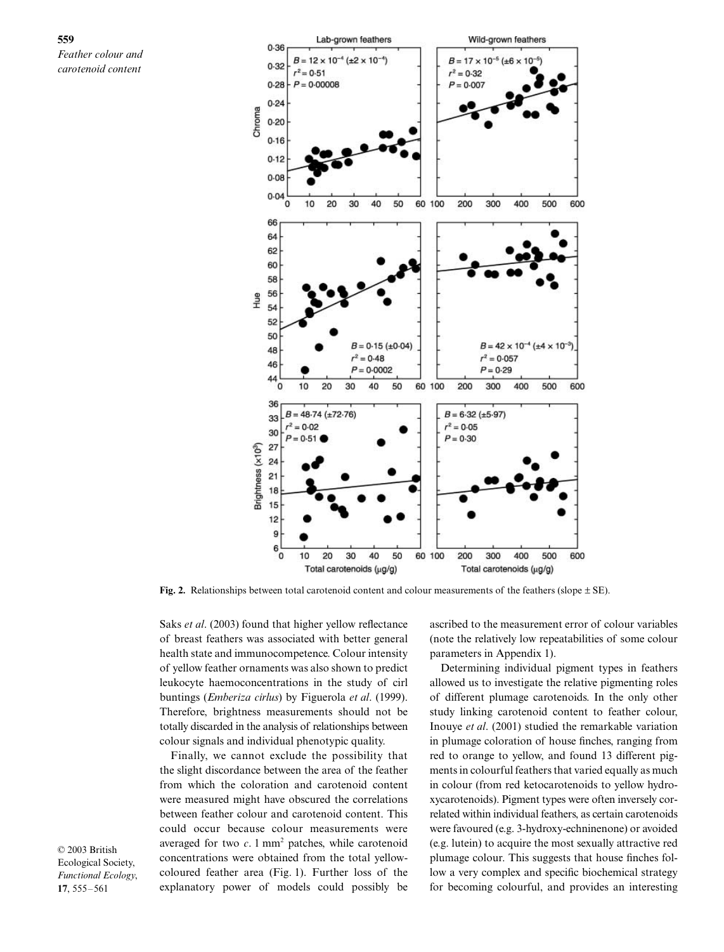**559** *Feather colour and carotenoid content*



**Fig. 2.** Relationships between total carotenoid content and colour measurements of the feathers (slope  $\pm$  SE).

Saks *et al*. (2003) found that higher yellow reflectance of breast feathers was associated with better general health state and immunocompetence. Colour intensity of yellow feather ornaments was also shown to predict leukocyte haemoconcentrations in the study of cirl buntings (*Emberiza cirlus*) by Figuerola *et al*. (1999). Therefore, brightness measurements should not be totally discarded in the analysis of relationships between colour signals and individual phenotypic quality.

Finally, we cannot exclude the possibility that the slight discordance between the area of the feather from which the coloration and carotenoid content were measured might have obscured the correlations between feather colour and carotenoid content. This could occur because colour measurements were averaged for two  $c$ . 1 mm<sup>2</sup> patches, while carotenoid concentrations were obtained from the total yellowcoloured feather area (Fig. 1). Further loss of the explanatory power of models could possibly be

ascribed to the measurement error of colour variables (note the relatively low repeatabilities of some colour parameters in Appendix 1).

Determining individual pigment types in feathers allowed us to investigate the relative pigmenting roles of different plumage carotenoids. In the only other study linking carotenoid content to feather colour, Inouye *et al*. (2001) studied the remarkable variation in plumage coloration of house finches, ranging from red to orange to yellow, and found 13 different pigments in colourful feathers that varied equally as much in colour (from red ketocarotenoids to yellow hydroxycarotenoids). Pigment types were often inversely correlated within individual feathers, as certain carotenoids were favoured (e.g. 3-hydroxy-echninenone) or avoided (e.g. lutein) to acquire the most sexually attractive red plumage colour. This suggests that house finches follow a very complex and specific biochemical strategy for becoming colourful, and provides an interesting

© 2003 British Ecological Society, *Functional Ecology*, **17**, 555–561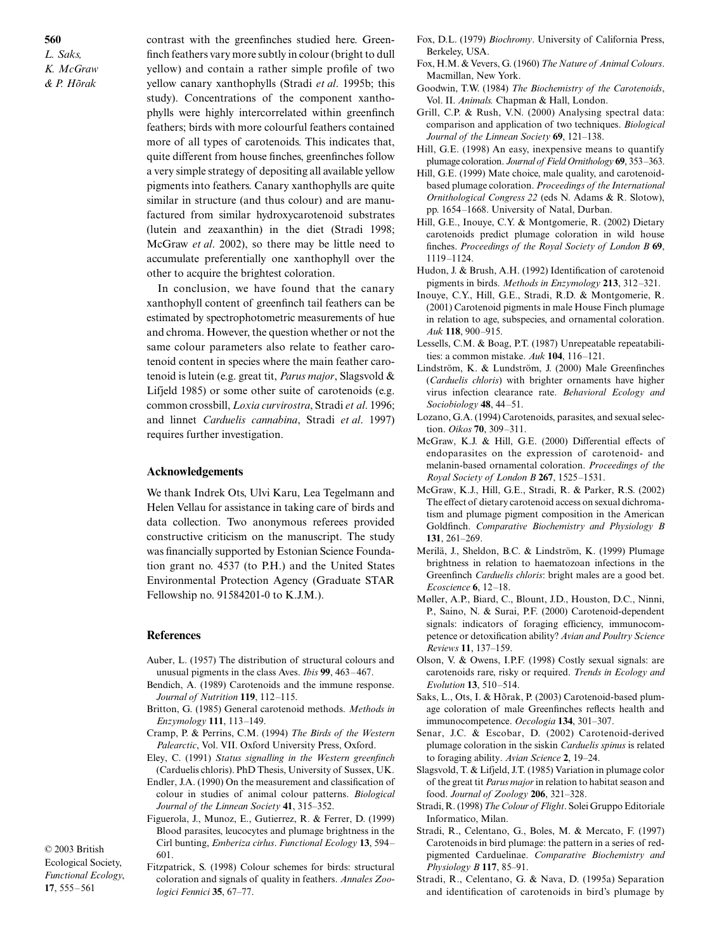**560** *L. Saks, K. McGraw & P. Hõrak*

contrast with the greenfinches studied here. Greenfinch feathers vary more subtly in colour (bright to dull yellow) and contain a rather simple profile of two yellow canary xanthophylls (Stradi *et al*. 1995b; this study). Concentrations of the component xanthophylls were highly intercorrelated within greenfinch feathers; birds with more colourful feathers contained more of all types of carotenoids. This indicates that, quite different from house finches, greenfinches follow a very simple strategy of depositing all available yellow pigments into feathers. Canary xanthophylls are quite similar in structure (and thus colour) and are manufactured from similar hydroxycarotenoid substrates (lutein and zeaxanthin) in the diet (Stradi 1998; McGraw *et al*. 2002), so there may be little need to accumulate preferentially one xanthophyll over the other to acquire the brightest coloration.

In conclusion, we have found that the canary xanthophyll content of greenfinch tail feathers can be estimated by spectrophotometric measurements of hue and chroma. However, the question whether or not the same colour parameters also relate to feather carotenoid content in species where the main feather carotenoid is lutein (e.g. great tit, *Parus major*, Slagsvold & Lifjeld 1985) or some other suite of carotenoids (e.g. common crossbill, *Loxia curvirostra*, Stradi *et al*. 1996; and linnet *Carduelis cannabina*, Stradi *et al*. 1997) requires further investigation.

## **Acknowledgements**

We thank Indrek Ots, Ulvi Karu, Lea Tegelmann and Helen Vellau for assistance in taking care of birds and data collection. Two anonymous referees provided constructive criticism on the manuscript. The study was financially supported by Estonian Science Foundation grant no. 4537 (to P.H.) and the United States Environmental Protection Agency (Graduate STAR Fellowship no. 91584201-0 to K.J.M.).

#### **References**

- Auber, L. (1957) The distribution of structural colours and unusual pigments in the class Aves. *Ibis* **99**, 463–467.
- Bendich, A. (1989) Carotenoids and the immune response. *Journal of Nutrition* **119**, 112–115.
- Britton, G. (1985) General carotenoid methods. *Methods in Enzymology* **111**, 113–149.
- Cramp, P. & Perrins, C.M. (1994) *The Birds of the Western Palearctic*, Vol. VII. Oxford University Press, Oxford.
- Eley, C. (1991) *Status signalling in the Western greenfinch* (Carduelis chloris). PhD Thesis, University of Sussex, UK. Endler, J.A. (1990) On the measurement and classification of
- colour in studies of animal colour patterns. *Biological Journal of the Linnean Society* **41**, 315–352.
- Figuerola, J., Munoz, E., Gutierrez, R. & Ferrer, D. (1999) Blood parasites, leucocytes and plumage brightness in the Cirl bunting, *Emberiza cirlus*. *Functional Ecology* **13**, 594– 601.

© 2003 British Ecological Society, *Functional Ecology*, **17**, 555–561

Fitzpatrick, S. (1998) Colour schemes for birds: structural coloration and signals of quality in feathers. *Annales Zoologici Fennici* **35**, 67–77.

- Fox, D.L. (1979) *Biochromy*. University of California Press, Berkeley, USA.
- Fox, H.M. & Vevers, G. (1960) *The Nature of Animal Colours*. Macmillan, New York.
- Goodwin, T.W. (1984) *The Biochemistry of the Carotenoids*, Vol. II. *Animals.* Chapman & Hall, London.
- Grill, C.P. & Rush, V.N. (2000) Analysing spectral data: comparison and application of two techniques. *Biological Journal of the Linnean Society* **69**, 121–138.
- Hill, G.E. (1998) An easy, inexpensive means to quantify plumage coloration. *Journal of Field Ornithology* **69**, 353–363.
- Hill, G.E. (1999) Mate choice, male quality, and carotenoidbased plumage coloration. *Proceedings of the International Ornithological Congress 22* (eds N. Adams & R. Slotow), pp. 1654–1668. University of Natal, Durban.
- Hill, G.E., Inouye, C.Y. & Montgomerie, R. (2002) Dietary carotenoids predict plumage coloration in wild house finches. *Proceedings of the Royal Society of London B* **69**, 1119–1124.
- Hudon, J. & Brush, A.H. (1992) Identification of carotenoid pigments in birds. *Methods in Enzymology* **213**, 312–321.
- Inouye, C.Y., Hill, G.E., Stradi, R.D. & Montgomerie, R. (2001) Carotenoid pigments in male House Finch plumage in relation to age, subspecies, and ornamental coloration. *Auk* **118**, 900–915.
- Lessells, C.M. & Boag, P.T. (1987) Unrepeatable repeatabilities: a common mistake. *Auk* **104**, 116–121.
- Lindström, K. & Lundström, J. (2000) Male Greenfinches (*Carduelis chloris*) with brighter ornaments have higher virus infection clearance rate. *Behavioral Ecology and Sociobiology* **48**, 44–51.
- Lozano, G.A. (1994) Carotenoids, parasites, and sexual selection. *Oikos* **70**, 309–311.
- McGraw, K.J. & Hill, G.E. (2000) Differential effects of endoparasites on the expression of carotenoid- and melanin-based ornamental coloration. *Proceedings of the Royal Society of London B* **267**, 1525–1531.
- McGraw, K.J., Hill, G.E., Stradi, R. & Parker, R.S. (2002) The effect of dietary carotenoid access on sexual dichromatism and plumage pigment composition in the American Goldfinch. *Comparative Biochemistry and Physiology B* **131**, 261–269.
- Merilä, J., Sheldon, B.C. & Lindström, K. (1999) Plumage brightness in relation to haematozoan infections in the Greenfinch *Carduelis chloris*: bright males are a good bet. *Ecoscience* **6**, 12–18.
- Møller, A.P., Biard, C., Blount, J.D., Houston, D.C., Ninni, P., Saino, N. & Surai, P.F. (2000) Carotenoid-dependent signals: indicators of foraging efficiency, immunocompetence or detoxification ability? *Avian and Poultry Science Reviews* **11**, 137–159.
- Olson, V. & Owens, I.P.F. (1998) Costly sexual signals: are carotenoids rare, risky or required. *Trends in Ecology and Evolution* **13**, 510–514.
- Saks, L., Ots, I. & Hõrak, P. (2003) Carotenoid-based plumage coloration of male Greenfinches reflects health and immunocompetence. *Oecologia* **134**, 301–307.
- Senar, J.C. & Escobar, D. (2002) Carotenoid-derived plumage coloration in the siskin *Carduelis spinus* is related to foraging ability. *Avian Science* **2**, 19–24.
- Slagsvold, T. & Lifjeld, J.T. (1985) Variation in plumage color of the great tit *Parus major*in relation to habitat season and food. *Journal of Zoology* **206**, 321–328.
- Stradi, R. (1998) *The Colour of Flight*. Solei Gruppo Editoriale Informatico, Milan.
- Stradi, R., Celentano, G., Boles, M. & Mercato, F. (1997) Carotenoids in bird plumage: the pattern in a series of redpigmented Carduelinae. *Comparative Biochemistry and Physiology B* **117**, 85–91.
- Stradi, R., Celentano, G. & Nava, D. (1995a) Separation and identification of carotenoids in bird's plumage by